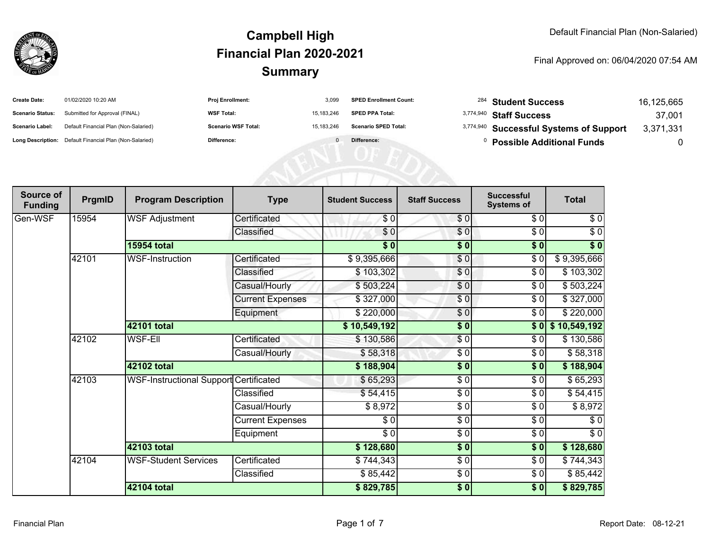

| <b>Create Date:</b>     | 01/02/2020 10:20 AM                                     | <b>Proj Enrollment:</b>    | 3,099      | <b>SPED Enrollment Count:</b> | <sup>284</sup> Student Success          | 16,125,665 |
|-------------------------|---------------------------------------------------------|----------------------------|------------|-------------------------------|-----------------------------------------|------------|
| <b>Scenario Status:</b> | Submitted for Approval (FINAL)                          | <b>WSF Total:</b>          | 15,183,246 | <b>SPED PPA Total:</b>        | 3,774,940 Staff Success                 | 37,001     |
| <b>Scenario Label:</b>  | Default Financial Plan (Non-Salaried)                   | <b>Scenario WSF Total:</b> | 15,183,246 | <b>Scenario SPED Total:</b>   | 3,774,940 Successful Systems of Support | 3,371,331  |
|                         | Long Description: Default Financial Plan (Non-Salaried) | Difference:                |            | Difference:                   | <b>Possible Additional Funds</b>        | 0          |
|                         |                                                         |                            |            |                               |                                         |            |
|                         |                                                         |                            |            |                               |                                         |            |
|                         |                                                         |                            |            |                               |                                         |            |

| Source of<br><b>Funding</b> | PrgmID | <b>Program Description</b>                    | <b>Type</b>             | <b>Student Success</b>   | <b>Staff Success</b>   | <b>Successful</b><br><b>Systems of</b> | <b>Total</b>     |
|-----------------------------|--------|-----------------------------------------------|-------------------------|--------------------------|------------------------|----------------------------------------|------------------|
| Gen-WSF                     | 15954  | <b>WSF Adjustment</b>                         | Certificated            | \$0                      | \$0                    | \$0                                    | \$0              |
|                             |        |                                               | Classified              | \$0                      | $\frac{6}{6}$          | $\frac{3}{6}$                          | $\sqrt{6}$       |
|                             |        | <b>15954 total</b>                            |                         | \$0                      | \$0                    | \$0                                    | \$0              |
|                             | 42101  | <b>WSF-Instruction</b>                        | Certificated            | \$9,395,666              | \$0                    | \$0                                    | \$9,395,666      |
|                             |        |                                               | Classified              | \$103,302                | \$0                    | $\frac{3}{6}$                          | \$103,302        |
|                             |        |                                               | Casual/Hourly           | \$503,224                | \$0                    | \$0                                    | \$503,224        |
|                             |        |                                               | <b>Current Expenses</b> | \$327,000                | \$0                    | \$0                                    | \$327,000        |
|                             |        |                                               | Equipment               | \$220,000                | \$0                    | \$0                                    | \$220,000        |
|                             |        | 42101 total                                   |                         | \$10,549,192             | $\frac{1}{2}$          |                                        | \$0 \$10,549,192 |
|                             | 42102  | <b>WSF-Ell</b>                                | Certificated            | \$130,586                | \$0                    | \$0                                    | \$130,586        |
|                             |        |                                               | Casual/Hourly           | \$58,318                 | \$0                    | \$0                                    | \$58,318         |
|                             |        | 42102 total                                   |                         | \$188,904                | $\overline{\bullet}$ 0 | $\overline{\$0}$                       | \$188,904        |
|                             | 42103  | <b>WSF-Instructional Support Certificated</b> |                         | \$65,293                 | $\sqrt{6}$             | $\frac{3}{6}$                          | \$65,293         |
|                             |        |                                               | Classified              | \$54,415                 | $\frac{6}{6}$          | \$0                                    | \$54,415         |
|                             |        |                                               | Casual/Hourly           | \$8,972                  | \$0                    | \$0                                    | \$8,972          |
|                             |        |                                               | <b>Current Expenses</b> | \$0                      | \$0                    | \$0                                    | \$0              |
|                             |        |                                               | Equipment               | $\overline{\frac{1}{2}}$ | $\frac{6}{6}$          | \$0                                    | $\sqrt{6}$       |
|                             |        | 42103 total                                   |                         | \$128,680                | $\sqrt{6}$             | \$0                                    | \$128,680        |
|                             | 42104  | <b>WSF-Student Services</b>                   | Certificated            | \$744,343                | \$0                    | \$0                                    | \$744,343        |
|                             |        |                                               | Classified              | \$85,442                 | \$0                    | \$0                                    | \$85,442         |
|                             |        | 42104 total                                   |                         | \$829,785                | \$0                    | $\sqrt{6}$                             | \$829,785        |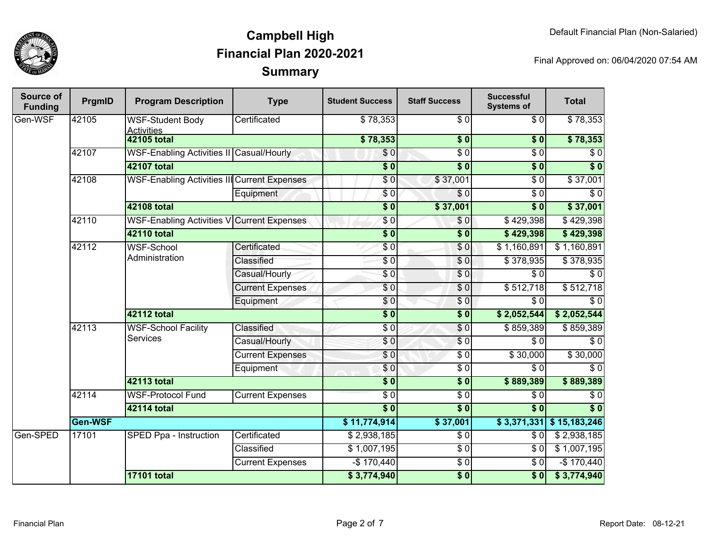

| Source of<br><b>Funding</b> | PrgmID  | <b>Program Description</b>                          | <b>Type</b>             | <b>Student Success</b>  | <b>Staff Success</b>     | <b>Successful</b><br><b>Systems of</b> | <b>Total</b>     |          |
|-----------------------------|---------|-----------------------------------------------------|-------------------------|-------------------------|--------------------------|----------------------------------------|------------------|----------|
| Gen-WSF                     | 42105   | <b>WSF-Student Body</b><br><b>Activities</b>        | Certificated            | \$78,353                | \$0                      | \$0                                    | \$78,353         |          |
|                             |         | 42105 total                                         |                         | \$78,353                | \$0                      | \$0                                    | \$78,353         |          |
|                             | 42107   | WSF-Enabling Activities II Casual/Hourly            |                         | $\sqrt{6}$              | $\overline{30}$          | $\overline{\$0}$                       | $\overline{\$0}$ |          |
|                             |         | 42107 total                                         |                         | $\overline{\$0}$        | $\overline{\$0}$         | $\overline{\$0}$                       | $\overline{\$0}$ |          |
|                             | 42108   | <b>WSF-Enabling Activities III Current Expenses</b> |                         | $\overline{S}0$         | \$37,001                 | $\overline{\$0}$                       | \$37,001         |          |
|                             |         |                                                     | Equipment               | \$0                     | \$0                      | $\overline{\$0}$                       | $\overline{\$0}$ |          |
|                             |         | 42108 total                                         |                         | $\overline{\$0}$        | \$37,001                 | \$0                                    | \$37,001         |          |
|                             | 42110   | WSF-Enabling Activities V Current Expenses          |                         | \$0                     | \$0                      | \$429,398                              | \$429,398        |          |
|                             |         | 42110 total                                         |                         | $\overline{\$0}$        | $\overline{\textbf{50}}$ | \$429,398                              | \$429,398        |          |
|                             | 42112   | <b>WSF-School</b><br>Administration                 | Certificated            | \$0                     | \$0                      | \$1,160,891                            | \$1,160,891      |          |
|                             |         |                                                     | Classified              | \$0                     | \$0                      | \$378,935                              | \$378,935        |          |
|                             |         |                                                     | Casual/Hourly           | $\sqrt{6}$              | $\sqrt{6}$               | $\overline{\$0}$                       | \$0              |          |
|                             |         |                                                     | <b>Current Expenses</b> | $\sqrt{6}$              | $\overline{\$0}$         | \$512,718                              | \$512,718        |          |
|                             |         |                                                     | Equipment               | \$0                     | $\sqrt{6}$               | $\overline{\$0}$                       | $\overline{\$0}$ |          |
|                             |         | 42112 total                                         |                         | $\overline{\$}0$        | $\overline{\$0}$         | \$2,052,544                            | \$2,052,544      |          |
|                             | 42113   | <b>WSF-School Facility</b><br>Services              | Classified              | \$0                     | \$0                      | \$859,389                              | \$859,389        |          |
|                             |         |                                                     | Casual/Hourly           | \$0                     | $\overline{\$0}$         | $\overline{\$0}$                       | $\overline{\$0}$ |          |
|                             |         |                                                     |                         | <b>Current Expenses</b> | \$0                      | $\overline{\$0}$                       | \$30,000         | \$30,000 |
|                             |         |                                                     | Equipment               | $\sqrt{6}$              | $\overline{30}$          | $\overline{\$0}$                       | $\overline{$}0$  |          |
|                             |         | 42113 total                                         |                         | $\sqrt{6}$              | \$0                      | \$889,389                              | \$889,389        |          |
|                             | 42114   | <b>WSF-Protocol Fund</b>                            | <b>Current Expenses</b> | $\overline{\$0}$        | $\overline{\$0}$         | $\overline{\$0}$                       | $\overline{\$0}$ |          |
|                             |         | 42114 total                                         |                         | $\overline{\$0}$        | $\overline{\$0}$         | $\overline{\$0}$                       | $\overline{\$0}$ |          |
|                             | Gen-WSF |                                                     | \$11,774,914]           | \$37,001                | \$3,371,331              | \$15,183,246                           |                  |          |
| Gen-SPED                    | 17101   | SPED Ppa - Instruction                              | Certificated            | \$2,938,185             | $\overline{\$0}$         | $\overline{\$0}$                       | \$2,938,185      |          |
|                             |         |                                                     | Classified              | \$1,007,195             | $\overline{\$0}$         | $\overline{\$0}$                       | \$1,007,195      |          |
|                             |         |                                                     | <b>Current Expenses</b> | $-$170,440$             | $\overline{\$0}$         | $\overline{\$0}$                       | $-$170,440$      |          |
|                             |         | <b>17101 total</b>                                  |                         | \$3,774,940             | $\sqrt{6}$               | \$0                                    | \$3,774,940      |          |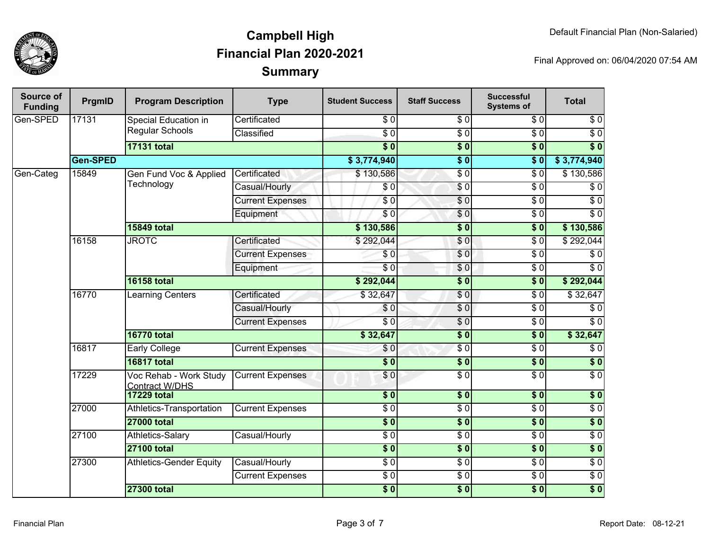

| Source of<br><b>Funding</b> | PrgmID                               | <b>Program Description</b>                      | <b>Type</b>             | <b>Student Success</b> | <b>Staff Success</b> | <b>Successful</b><br><b>Systems of</b> | <b>Total</b>     |
|-----------------------------|--------------------------------------|-------------------------------------------------|-------------------------|------------------------|----------------------|----------------------------------------|------------------|
| Gen-SPED                    | 17131<br><b>Special Education in</b> |                                                 | Certificated            | $\overline{\$0}$       | $\sqrt{6}$           | $\overline{30}$                        | $\sqrt{6}$       |
|                             |                                      | Regular Schools                                 | Classified              | $\overline{S}0$        | $\overline{\$0}$     | $\overline{30}$                        | $\overline{\$0}$ |
|                             |                                      | <b>17131 total</b>                              |                         | $\overline{\$0}$       | $\overline{\$0}$     | $\overline{\$0}$                       | $\overline{\$0}$ |
|                             | <b>Gen-SPED</b>                      |                                                 |                         | \$3,774,940            | $\overline{\$0}$     | $\overline{\$0}$                       | \$3,774,940      |
| Gen-Categ                   | 15849                                | Gen Fund Voc & Applied                          | Certificated            | \$130,586              | $\sqrt{6}$           | $\overline{30}$                        | \$130,586        |
|                             |                                      | Technology                                      | Casual/Hourly           | \$0                    | $\sqrt{6}$           | $\overline{30}$                        | $\overline{\$0}$ |
|                             |                                      |                                                 | <b>Current Expenses</b> | $\sqrt{6}$             | $\sqrt{0}$           | $\overline{\$0}$                       | $\overline{\$0}$ |
|                             |                                      |                                                 | Equipment               | \$0                    | \$0                  | $\overline{\$0}$                       | $\sqrt{6}$       |
|                             |                                      | <b>15849 total</b>                              |                         | \$130,586              | $\overline{\$0}$     | $\overline{\$0}$                       | \$130,586        |
|                             | 16158                                | <b>JROTC</b>                                    | Certificated            | \$292,044              | \$0                  | $\overline{\$0}$                       | \$292,044        |
|                             |                                      |                                                 | <b>Current Expenses</b> | \$0                    | $\sqrt{0}$           | $\overline{30}$                        | $\overline{\$0}$ |
|                             |                                      |                                                 | Equipment               | $\overline{\$0}$       | $\overline{\$0}$     | $\overline{S}0$                        | $\overline{\$0}$ |
|                             |                                      | <b>16158 total</b>                              |                         | \$292,044              | $\overline{\$0}$     | $\overline{\$0}$                       | \$292,044        |
|                             | 16770                                | <b>Learning Centers</b>                         | Certificated            | \$32,647               | $\sqrt{0}$           | $\overline{30}$                        | \$32,647         |
|                             |                                      |                                                 |                         | Casual/Hourly          | \$0                  | $\frac{6}{3}$                          | $\overline{\$0}$ |
|                             |                                      |                                                 | <b>Current Expenses</b> | $\overline{\$0}$       | $\sqrt{6}$           | $\overline{\$0}$                       | $\overline{\$0}$ |
|                             |                                      | <b>16770 total</b>                              |                         | \$32,647               | $\overline{\$0}$     | $\overline{\$0}$                       | \$32,647         |
|                             | 16817                                | <b>Early College</b>                            | <b>Current Expenses</b> | \$0                    | $\sqrt{6}$           | $\overline{30}$                        | $\overline{30}$  |
|                             |                                      | <b>16817 total</b>                              |                         | $\overline{\$0}$       | $\overline{\$0}$     | $\overline{\$0}$                       | $\overline{\$0}$ |
|                             | 17229                                | Voc Rehab - Work Study<br><b>Contract W/DHS</b> | <b>Current Expenses</b> | \$0                    | $\overline{\$0}$     | $\overline{\$0}$                       | $\overline{\$0}$ |
|                             |                                      | <b>17229 total</b>                              |                         | \$0                    | \$0                  | \$0                                    | $\overline{\$0}$ |
|                             | 27000                                | Athletics-Transportation                        | <b>Current Expenses</b> | $\overline{\$0}$       | $\overline{$}0$      | $\overline{30}$                        | $\overline{\$0}$ |
|                             |                                      | <b>27000 total</b>                              |                         | $\overline{\$0}$       | $\overline{\$0}$     | $\overline{\textbf{50}}$               | $\overline{\$0}$ |
|                             | 27100                                | Athletics-Salary                                | Casual/Hourly           | $\overline{\$0}$       | $\overline{\$0}$     | $\overline{\$0}$                       | $\overline{\$0}$ |
|                             |                                      | <b>27100 total</b>                              |                         | $\overline{\$0}$       | $\overline{\$}0$     | $\overline{\textbf{50}}$               | $\overline{\$0}$ |
|                             | 27300                                | <b>Athletics-Gender Equity</b>                  | Casual/Hourly           | $\overline{\$0}$       | $\overline{\$0}$     | $\overline{\$0}$                       | $\overline{\$0}$ |
|                             |                                      |                                                 | <b>Current Expenses</b> | $\overline{\$0}$       | $\overline{\$0}$     | $\overline{\$0}$                       | $\overline{\$0}$ |
|                             |                                      | <b>27300 total</b>                              |                         | $\overline{\$0}$       | $\overline{\$0}$     | $\overline{\$0}$                       | $\overline{\$0}$ |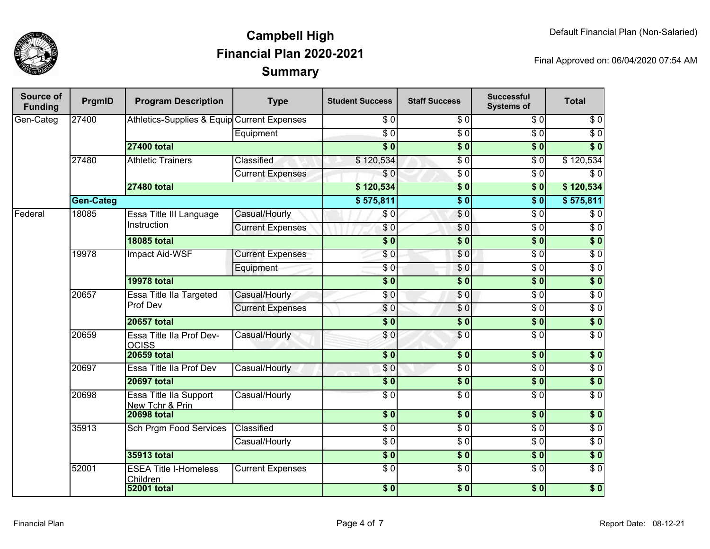

| Source of<br><b>Funding</b> | PrgmID           | <b>Program Description</b>                  | <b>Type</b>             | <b>Student Success</b> | <b>Staff Success</b> | <b>Successful</b><br><b>Systems of</b> | <b>Total</b>     |
|-----------------------------|------------------|---------------------------------------------|-------------------------|------------------------|----------------------|----------------------------------------|------------------|
| Gen-Categ                   | 27400            | Athletics-Supplies & Equip Current Expenses |                         | \$0                    | \$0                  | \$0                                    | \$0              |
|                             |                  |                                             | Equipment               | $\overline{S}0$        | $\sqrt{6}$           | $\sqrt{6}$                             | $\overline{\$0}$ |
|                             |                  | <b>27400 total</b>                          |                         | $\overline{\$0}$       | $\overline{\$0}$     | $\overline{\$0}$                       | $\overline{\$0}$ |
|                             | 27480            | <b>Athletic Trainers</b>                    | Classified              | \$120,534              | $\overline{S}0$      | $\overline{S}0$                        | \$120,534        |
|                             |                  |                                             | <b>Current Expenses</b> | \$0                    | $\sqrt{6}$           | $\sqrt{6}$                             | $\overline{\$0}$ |
|                             |                  | <b>27480 total</b>                          |                         | \$120,534              | $\overline{\$0}$     | $\overline{\$0}$                       | \$120,534        |
|                             | <b>Gen-Categ</b> |                                             |                         | \$575,811              | $\overline{\$0}$     | $\overline{\$0}$                       | \$575,811        |
| Federal                     | 18085            | Essa Title III Language                     | Casual/Hourly           | \$0                    | $\overline{\$0}$     | $\sqrt{6}$                             | $\overline{\$0}$ |
|                             |                  | Instruction                                 | <b>Current Expenses</b> | \$0                    | \$0                  | $\overline{30}$                        | $\overline{50}$  |
|                             |                  | <b>18085 total</b>                          |                         | $\overline{\$0}$       | $\overline{\$0}$     | \$0                                    | $\overline{\$0}$ |
|                             | 19978            | Impact Aid-WSF                              | <b>Current Expenses</b> | \$0                    | $\overline{S}0$      | $\overline{30}$                        | $\overline{50}$  |
|                             |                  |                                             | Equipment               | $\overline{\$0}$       | \$0                  | $\overline{S}0$                        | $\overline{50}$  |
|                             |                  | <b>19978 total</b>                          |                         | $\overline{\$0}$       | $\overline{\$0}$     | $\overline{\$0}$                       | $\overline{\$0}$ |
|                             | 20657            | Essa Title IIa Targeted<br>Prof Dev         | Casual/Hourly           | \$0                    | $\overline{S}0$      | $\overline{30}$                        | $\overline{50}$  |
|                             |                  |                                             | <b>Current Expenses</b> | \$0                    | \$0                  | $\overline{S}0$                        | $\overline{50}$  |
|                             |                  | <b>20657 total</b>                          |                         | $\overline{\$0}$       | $\overline{\$0}$     | $\overline{\$0}$                       | $\overline{\$0}$ |
|                             | 20659            | Essa Title IIa Prof Dev-<br><b>OCISS</b>    | Casual/Hourly           | \$0                    | \$0                  | $\overline{\$0}$                       | $\overline{50}$  |
|                             |                  | <b>20659 total</b>                          |                         | $\overline{\$0}$       | $\overline{\$0}$     | \$0                                    | \$0              |
|                             | 20697            | Essa Title IIa Prof Dev                     | Casual/Hourly           | \$0                    | $\overline{\$0}$     | $\overline{\$0}$                       | $\overline{\$0}$ |
|                             |                  | <b>20697 total</b>                          |                         | $\overline{\$0}$       | $\overline{\$0}$     | $\overline{\$0}$                       | $\overline{\$0}$ |
|                             | 20698            | Essa Title IIa Support<br>New Tchr & Prin   | Casual/Hourly           | $\overline{\$0}$       | $\overline{\$0}$     | $\overline{\$0}$                       | $\overline{\$0}$ |
|                             |                  | <b>20698 total</b>                          |                         | $\overline{\$0}$       | $\overline{\$0}$     | \$0                                    | $\overline{\$0}$ |
|                             | 35913            | Sch Prgm Food Services                      | Classified              | $\overline{\$0}$       | $\overline{S}0$      | $\sqrt{6}$                             | $\overline{S}0$  |
|                             |                  |                                             | Casual/Hourly           | $\sqrt{6}$             | $\overline{S}0$      | $\overline{S}0$                        | $\overline{S}0$  |
|                             |                  | <b>35913 total</b>                          |                         | \$0                    | $\overline{\$0}$     | $\overline{\$0}$                       | $\overline{\$0}$ |
|                             | 52001            | <b>ESEA Title I-Homeless</b><br>Children    | <b>Current Expenses</b> | $\sqrt{6}$             | $\overline{S}0$      | $\sqrt{6}$                             | $\sqrt{6}$       |
|                             |                  | <b>52001 total</b>                          |                         | $\overline{\$0}$       | $\overline{\$0}$     | $\overline{\$0}$                       | $\overline{\$0}$ |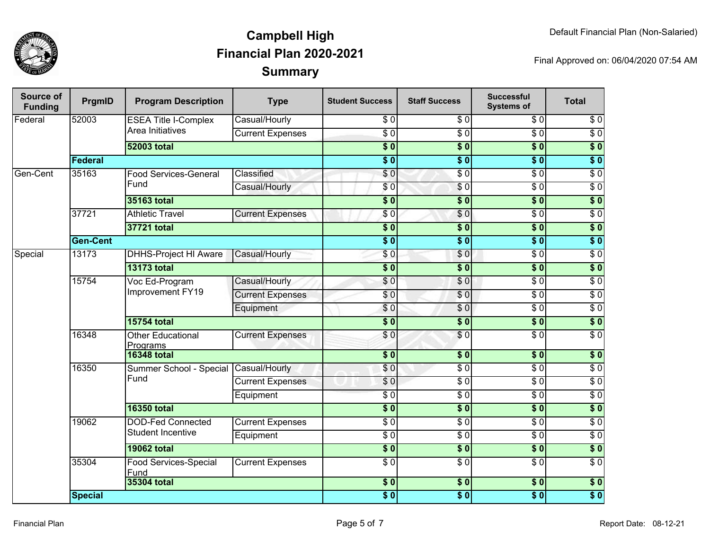

| Source of<br><b>Funding</b> | PrgmID          | <b>Program Description</b>           | <b>Type</b>             | <b>Student Success</b>     | <b>Staff Success</b> | <b>Successful</b><br><b>Systems of</b> | <b>Total</b>     |
|-----------------------------|-----------------|--------------------------------------|-------------------------|----------------------------|----------------------|----------------------------------------|------------------|
| Federal                     | 52003           | <b>ESEA Title I-Complex</b>          | Casual/Hourly           | \$0                        | $\overline{\$0}$     | \$0                                    | $\sqrt{6}$       |
|                             |                 | Area Initiatives                     | <b>Current Expenses</b> | $\overline{\$0}$           | $\overline{S}0$      | $\overline{\$0}$                       | $\overline{\$0}$ |
|                             |                 | <b>52003 total</b>                   |                         | $\overline{\$0}$           | $\overline{\$0}$     | $\overline{\$0}$                       | $\overline{\$0}$ |
|                             | Federal         |                                      |                         | $\overline{\$0}$           | $\overline{\$0}$     | $\overline{\$0}$                       | $\overline{\$0}$ |
| Gen-Cent                    | 35163           | <b>Food Services-General</b>         | Classified              | \$0                        | $\overline{50}$      | $\sqrt{6}$                             | $\overline{\$0}$ |
|                             |                 | Fund                                 | Casual/Hourly           | \$0                        | $\sqrt{6}$           | $\sqrt{6}$                             | $\overline{\$0}$ |
|                             |                 | 35163 total                          |                         | $\overline{\$0}$           | $\overline{\$0}$     | $\overline{\$0}$                       | $\overline{\$0}$ |
|                             | 37721           | <b>Athletic Travel</b>               | <b>Current Expenses</b> | \$0                        | \$0                  | $\overline{\$0}$                       | $\overline{\$0}$ |
|                             |                 | 37721 total                          |                         |                            | $\overline{\$0}$     | $\overline{\$0}$                       | $\overline{\$0}$ |
|                             | <b>Gen-Cent</b> |                                      |                         | $\overline{\$0}$           | $\overline{\$0}$     | $\overline{\$0}$                       | $\overline{\$0}$ |
| Special                     | 13173           | <b>DHHS-Project HI Aware</b>         | Casual/Hourly           | \$0                        | $\overline{S}0$      | $\overline{\$0}$                       | $\overline{\$0}$ |
|                             |                 | <b>13173 total</b>                   |                         | $\overline{\$0}$           | $\overline{\$0}$     | $\overline{\$0}$                       | $\overline{\$0}$ |
|                             | 15754           | Voc Ed-Program<br>Improvement FY19   | Casual/Hourly           | \$0                        | $\overline{\$0}$     | $\overline{30}$                        | $\overline{\$0}$ |
|                             |                 |                                      | <b>Current Expenses</b> | \$0                        | $\overline{S}$       | $\overline{30}$                        | $\overline{\$0}$ |
|                             |                 |                                      | Equipment               | \$0                        | $\sqrt{6}$           | $\overline{\$0}$                       | $\overline{60}$  |
|                             |                 | <b>15754 total</b>                   |                         | $\overline{\$0}$           | $\overline{\$0}$     | $\overline{\$0}$                       | $\overline{\$}0$ |
|                             | 16348           | <b>Other Educational</b><br>Programs | <b>Current Expenses</b> | \$0                        | $\overline{S}0$      | $\overline{\$0}$                       | $\overline{\$0}$ |
|                             |                 | <b>16348 total</b>                   |                         | $\sqrt{6}$                 | $\overline{\$}0$     | $\overline{\$0}$                       | $\overline{\$0}$ |
|                             | 16350           | Summer School - Special              | Casual/Hourly           | \$0                        | $\overline{\$0}$     | $\overline{\$0}$                       | $\overline{\$0}$ |
|                             |                 | Fund                                 | <b>Current Expenses</b> | \$0                        | $\overline{\$0}$     | $\overline{\$0}$                       | $\overline{\$0}$ |
|                             |                 |                                      | Equipment               | $\overline{\$0}$           | $\overline{\$0}$     | $\overline{\$0}$                       | $\overline{\$0}$ |
|                             |                 | <b>16350 total</b>                   |                         | $\overline{\$0}$           | $\overline{\$0}$     | $\overline{\$0}$                       | $\overline{\$0}$ |
|                             | 19062           | <b>DOD-Fed Connected</b>             | <b>Current Expenses</b> | $\overline{\$0}$           | $\overline{50}$      | $\overline{\$0}$                       | $\overline{\$0}$ |
|                             |                 | <b>Student Incentive</b>             | Equipment               | $\overline{\$0}$           | $\overline{\$0}$     | $\overline{\$0}$                       | $\overline{\$0}$ |
|                             |                 | <b>19062 total</b>                   |                         | $\overline{\phantom{0}30}$ | $\frac{1}{2}$        | 30                                     | $\sqrt{ }$       |
|                             | 35304           | <b>Food Services-Special</b><br>Fund | <b>Current Expenses</b> | $\overline{\$0}$           | $\overline{\$0}$     | $\overline{\$0}$                       | $\overline{\$0}$ |
|                             |                 | 35304 total                          |                         | $\sqrt{6}$                 | $\overline{\$0}$     | $\overline{\$0}$                       | $\overline{\$}0$ |
|                             | <b>Special</b>  |                                      |                         | $\overline{\$0}$           | $\overline{\$0}$     | $\overline{\$0}$                       | $\overline{\$0}$ |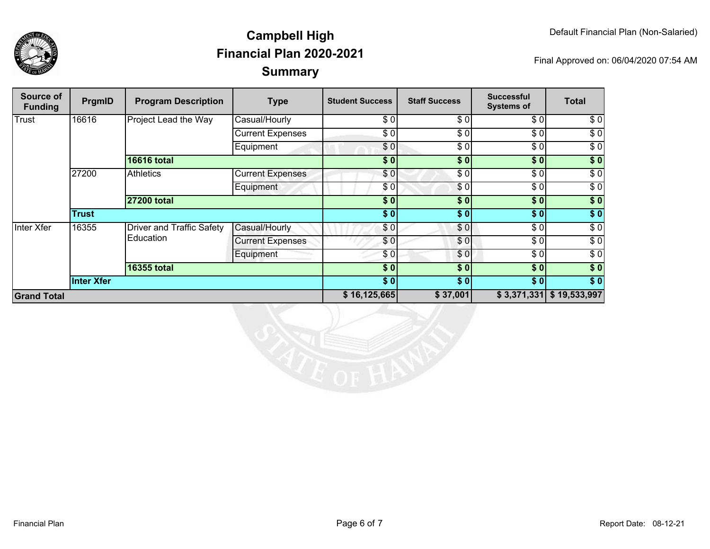

| Source of<br><b>Funding</b> | PrgmID            | <b>Program Description</b>                    | <b>Type</b>             | <b>Student Success</b> | <b>Staff Success</b> | <b>Successful</b><br><b>Systems of</b> | <b>Total</b>     |
|-----------------------------|-------------------|-----------------------------------------------|-------------------------|------------------------|----------------------|----------------------------------------|------------------|
| Trust                       | 16616             | Project Lead the Way                          | Casual/Hourly           | \$0                    | \$0                  | \$0]                                   | \$0              |
|                             |                   |                                               | <b>Current Expenses</b> | \$0                    | \$0                  | \$0]                                   | \$0              |
|                             |                   |                                               | Equipment               | \$0]                   | \$0                  | \$0]                                   | $\sqrt{6}$       |
|                             |                   | <b>16616 total</b>                            |                         | \$0                    | \$0                  | \$0                                    | $\sqrt{50}$      |
|                             | 27200             | <b>Athletics</b>                              | <b>Current Expenses</b> | \$0                    | \$0                  | \$0]                                   | $\sqrt{6}$       |
|                             |                   |                                               | Equipment               | \$0                    | \$0                  | \$0]                                   | \$0              |
|                             |                   | <b>27200 total</b>                            |                         | \$0                    | \$0                  | \$0                                    | $\sqrt{50}$      |
|                             | <b>Trust</b>      |                                               |                         | \$0]                   | \$0                  | \$0]                                   | \$0              |
| Inter Xfer                  | 16355             | <b>Driver and Traffic Safety</b><br>Education | Casual/Hourly           | \$0                    | \$0                  | \$0]                                   | \$0              |
|                             |                   |                                               | <b>Current Expenses</b> | \$0                    | \$0                  | \$0                                    | $\sqrt{6}$       |
|                             |                   |                                               | Equipment               | \$0                    | \$0                  | \$0]                                   | \$0              |
|                             |                   | <b>16355 total</b>                            |                         | \$0                    | \$0                  | \$0                                    | $\overline{\$}0$ |
|                             | <b>Inter Xfer</b> |                                               |                         | $\overline{\$0}$       | \$0                  | $\overline{\$0}$                       | $\overline{\$0}$ |
| <b>Grand Total</b>          |                   |                                               |                         | \$16,125,665           | \$37,001             | \$3,371,331                            | \$19,533,997     |